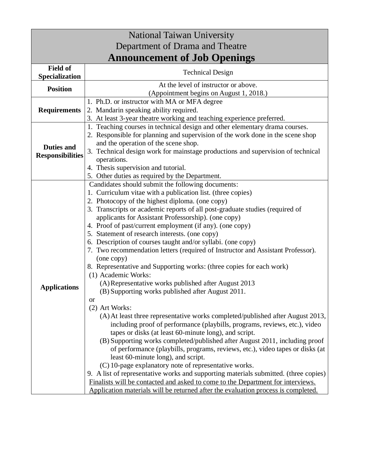| <b>National Taiwan University</b>            |                                                                                                                                                              |  |
|----------------------------------------------|--------------------------------------------------------------------------------------------------------------------------------------------------------------|--|
| Department of Drama and Theatre              |                                                                                                                                                              |  |
| <b>Announcement of Job Openings</b>          |                                                                                                                                                              |  |
| <b>Field of</b>                              | <b>Technical Design</b>                                                                                                                                      |  |
| Specialization                               | At the level of instructor or above.                                                                                                                         |  |
| <b>Position</b>                              | (Appointment begins on August 1, 2018.)                                                                                                                      |  |
| <b>Requirements</b>                          | 1. Ph.D. or instructor with MA or MFA degree                                                                                                                 |  |
|                                              | 2. Mandarin speaking ability required.                                                                                                                       |  |
|                                              | 3. At least 3-year theatre working and teaching experience preferred.                                                                                        |  |
| <b>Duties and</b><br><b>Responsibilities</b> | 1. Teaching courses in technical design and other elementary drama courses.                                                                                  |  |
|                                              | 2. Responsible for planning and supervision of the work done in the scene shop                                                                               |  |
|                                              | and the operation of the scene shop.                                                                                                                         |  |
|                                              | 3. Technical design work for mainstage productions and supervision of technical                                                                              |  |
|                                              | operations.                                                                                                                                                  |  |
|                                              | 4. Thesis supervision and tutorial.                                                                                                                          |  |
|                                              | 5. Other duties as required by the Department.<br>Candidates should submit the following documents:                                                          |  |
| <b>Applications</b>                          | 1. Curriculum vitae with a publication list. (three copies)                                                                                                  |  |
|                                              | 2. Photocopy of the highest diploma. (one copy)                                                                                                              |  |
|                                              | 3. Transcripts or academic reports of all post-graduate studies (required of                                                                                 |  |
|                                              | applicants for Assistant Professorship). (one copy)                                                                                                          |  |
|                                              | 4. Proof of past/current employment (if any). (one copy)                                                                                                     |  |
|                                              | 5. Statement of research interests. (one copy)                                                                                                               |  |
|                                              | 6. Description of courses taught and/or syllabi. (one copy)                                                                                                  |  |
|                                              | 7. Two recommendation letters (required of Instructor and Assistant Professor).                                                                              |  |
|                                              | (one copy)                                                                                                                                                   |  |
|                                              | 8. Representative and Supporting works: (three copies for each work)                                                                                         |  |
|                                              | (1) Academic Works:                                                                                                                                          |  |
|                                              | (A) Representative works published after August 2013                                                                                                         |  |
|                                              | (B) Supporting works published after August 2011.                                                                                                            |  |
|                                              | <b>or</b>                                                                                                                                                    |  |
|                                              | (2) Art Works:                                                                                                                                               |  |
|                                              | (A) At least three representative works completed/published after August 2013,<br>including proof of performance (playbills, programs, reviews, etc.), video |  |
|                                              | tapes or disks (at least 60-minute long), and script.                                                                                                        |  |
|                                              | (B) Supporting works completed/published after August 2011, including proof                                                                                  |  |
|                                              | of performance (playbills, programs, reviews, etc.), video tapes or disks (at                                                                                |  |
|                                              | least 60-minute long), and script.                                                                                                                           |  |
|                                              | (C) 10-page explanatory note of representative works.                                                                                                        |  |
|                                              | 9. A list of representative works and supporting materials submitted. (three copies)                                                                         |  |
|                                              | Finalists will be contacted and asked to come to the Department for interviews.                                                                              |  |
|                                              | Application materials will be returned after the evaluation process is completed.                                                                            |  |